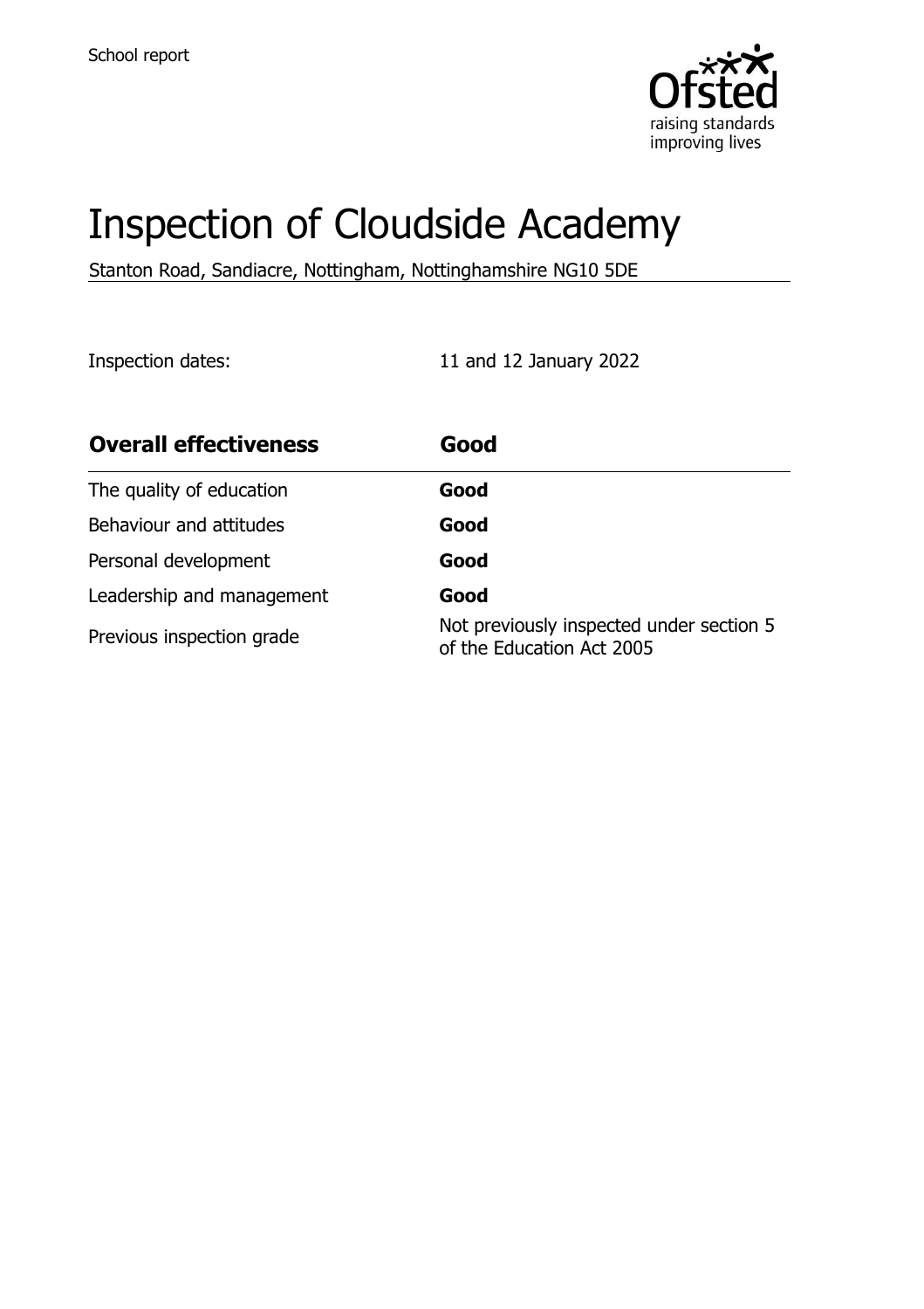

# Inspection of Cloudside Academy

Stanton Road, Sandiacre, Nottingham, Nottinghamshire NG10 5DE

Inspection dates: 11 and 12 January 2022

| <b>Overall effectiveness</b> | Good                                                                  |
|------------------------------|-----------------------------------------------------------------------|
| The quality of education     | Good                                                                  |
| Behaviour and attitudes      | Good                                                                  |
| Personal development         | Good                                                                  |
| Leadership and management    | Good                                                                  |
| Previous inspection grade    | Not previously inspected under section 5<br>of the Education Act 2005 |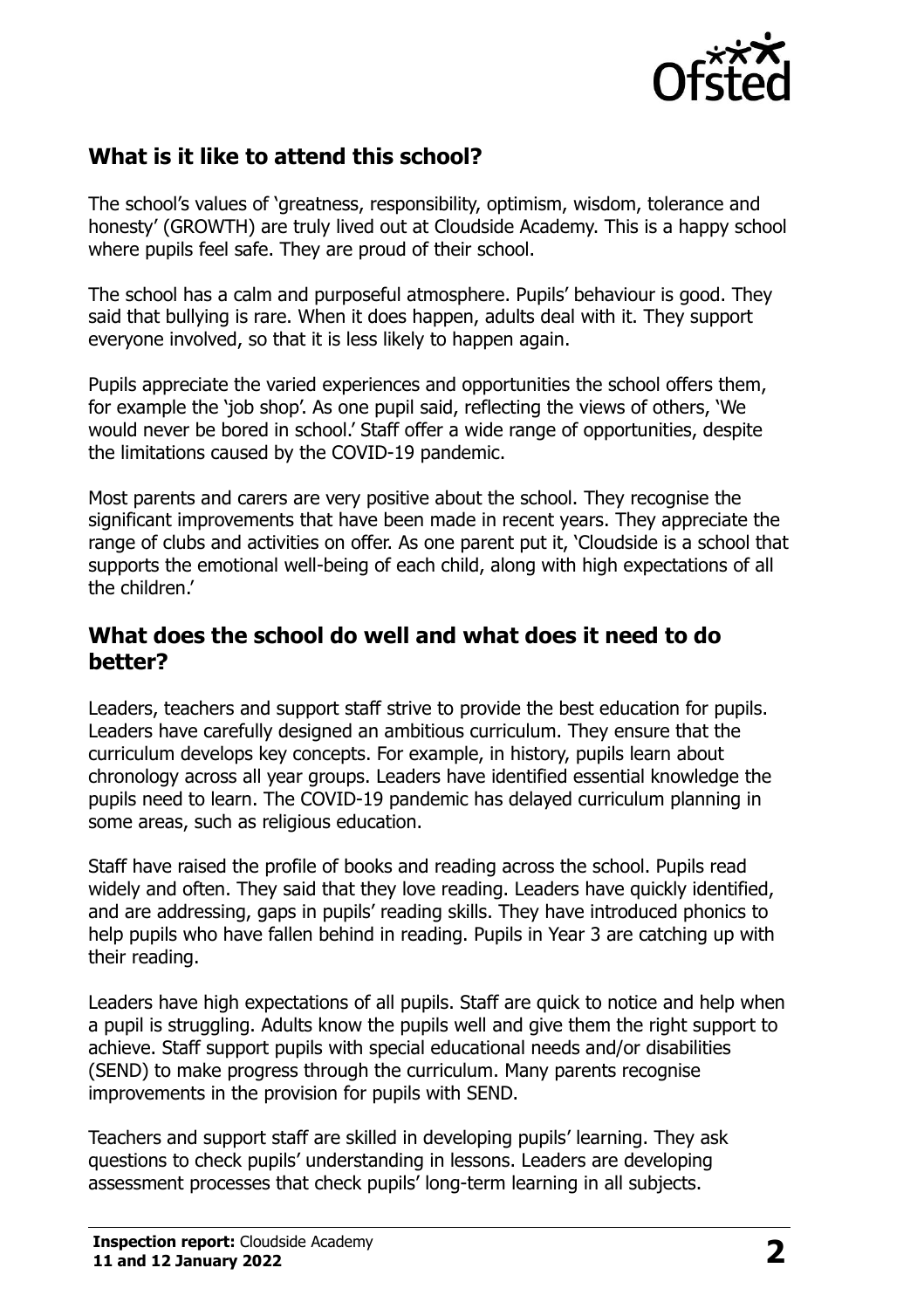

# **What is it like to attend this school?**

The school's values of 'greatness, responsibility, optimism, wisdom, tolerance and honesty' (GROWTH) are truly lived out at Cloudside Academy. This is a happy school where pupils feel safe. They are proud of their school.

The school has a calm and purposeful atmosphere. Pupils' behaviour is good. They said that bullying is rare. When it does happen, adults deal with it. They support everyone involved, so that it is less likely to happen again.

Pupils appreciate the varied experiences and opportunities the school offers them, for example the 'job shop'. As one pupil said, reflecting the views of others, 'We would never be bored in school.' Staff offer a wide range of opportunities, despite the limitations caused by the COVID-19 pandemic.

Most parents and carers are very positive about the school. They recognise the significant improvements that have been made in recent years. They appreciate the range of clubs and activities on offer. As one parent put it, 'Cloudside is a school that supports the emotional well-being of each child, along with high expectations of all the children.'

### **What does the school do well and what does it need to do better?**

Leaders, teachers and support staff strive to provide the best education for pupils. Leaders have carefully designed an ambitious curriculum. They ensure that the curriculum develops key concepts. For example, in history, pupils learn about chronology across all year groups. Leaders have identified essential knowledge the pupils need to learn. The COVID-19 pandemic has delayed curriculum planning in some areas, such as religious education.

Staff have raised the profile of books and reading across the school. Pupils read widely and often. They said that they love reading. Leaders have quickly identified, and are addressing, gaps in pupils' reading skills. They have introduced phonics to help pupils who have fallen behind in reading. Pupils in Year 3 are catching up with their reading.

Leaders have high expectations of all pupils. Staff are quick to notice and help when a pupil is struggling. Adults know the pupils well and give them the right support to achieve. Staff support pupils with special educational needs and/or disabilities (SEND) to make progress through the curriculum. Many parents recognise improvements in the provision for pupils with SEND.

Teachers and support staff are skilled in developing pupils' learning. They ask questions to check pupils' understanding in lessons. Leaders are developing assessment processes that check pupils' long-term learning in all subjects.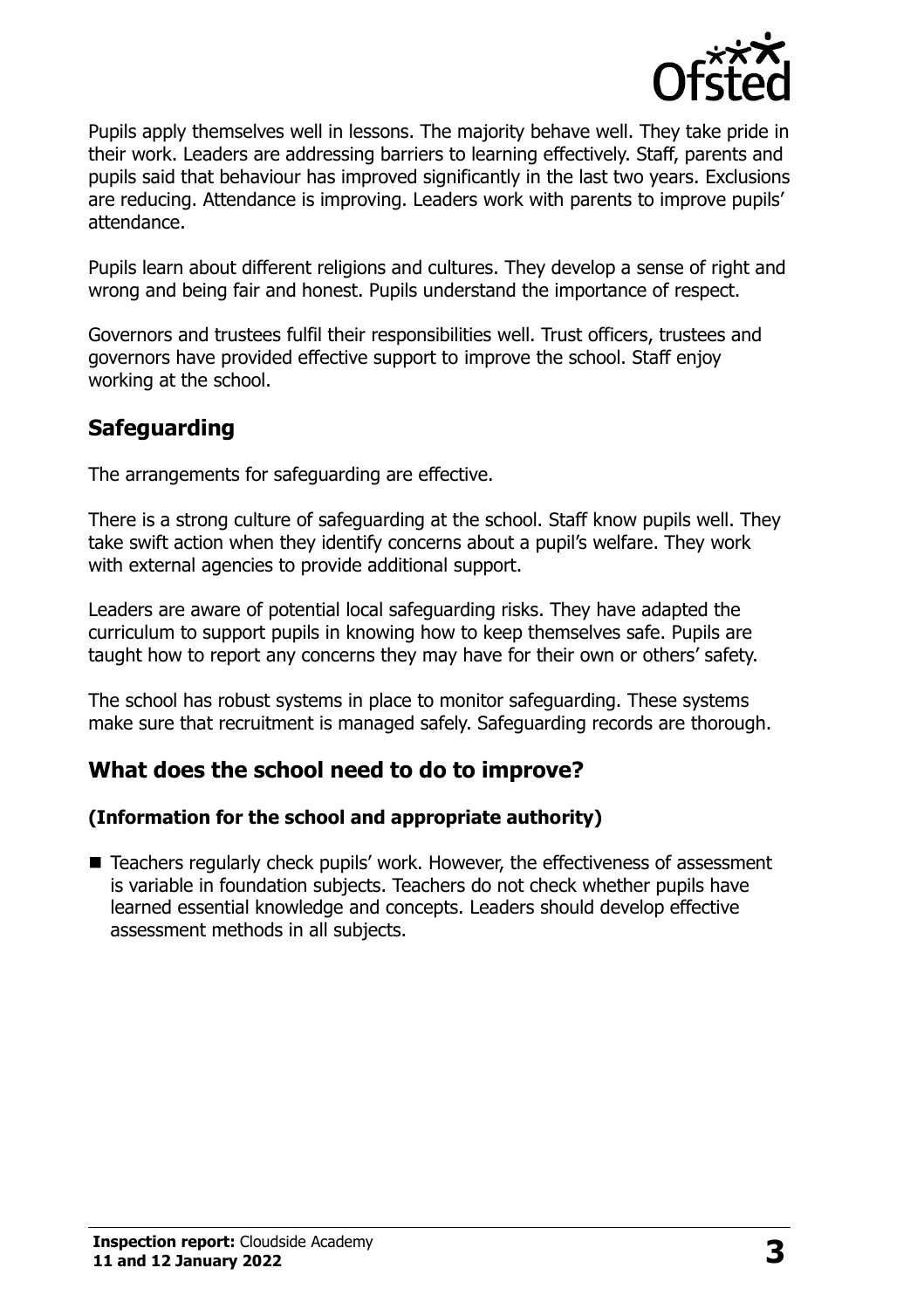

Pupils apply themselves well in lessons. The majority behave well. They take pride in their work. Leaders are addressing barriers to learning effectively. Staff, parents and pupils said that behaviour has improved significantly in the last two years. Exclusions are reducing. Attendance is improving. Leaders work with parents to improve pupils' attendance.

Pupils learn about different religions and cultures. They develop a sense of right and wrong and being fair and honest. Pupils understand the importance of respect.

Governors and trustees fulfil their responsibilities well. Trust officers, trustees and governors have provided effective support to improve the school. Staff enjoy working at the school.

# **Safeguarding**

The arrangements for safeguarding are effective.

There is a strong culture of safeguarding at the school. Staff know pupils well. They take swift action when they identify concerns about a pupil's welfare. They work with external agencies to provide additional support.

Leaders are aware of potential local safeguarding risks. They have adapted the curriculum to support pupils in knowing how to keep themselves safe. Pupils are taught how to report any concerns they may have for their own or others' safety.

The school has robust systems in place to monitor safeguarding. These systems make sure that recruitment is managed safely. Safeguarding records are thorough.

# **What does the school need to do to improve?**

#### **(Information for the school and appropriate authority)**

■ Teachers regularly check pupils' work. However, the effectiveness of assessment is variable in foundation subjects. Teachers do not check whether pupils have learned essential knowledge and concepts. Leaders should develop effective assessment methods in all subjects.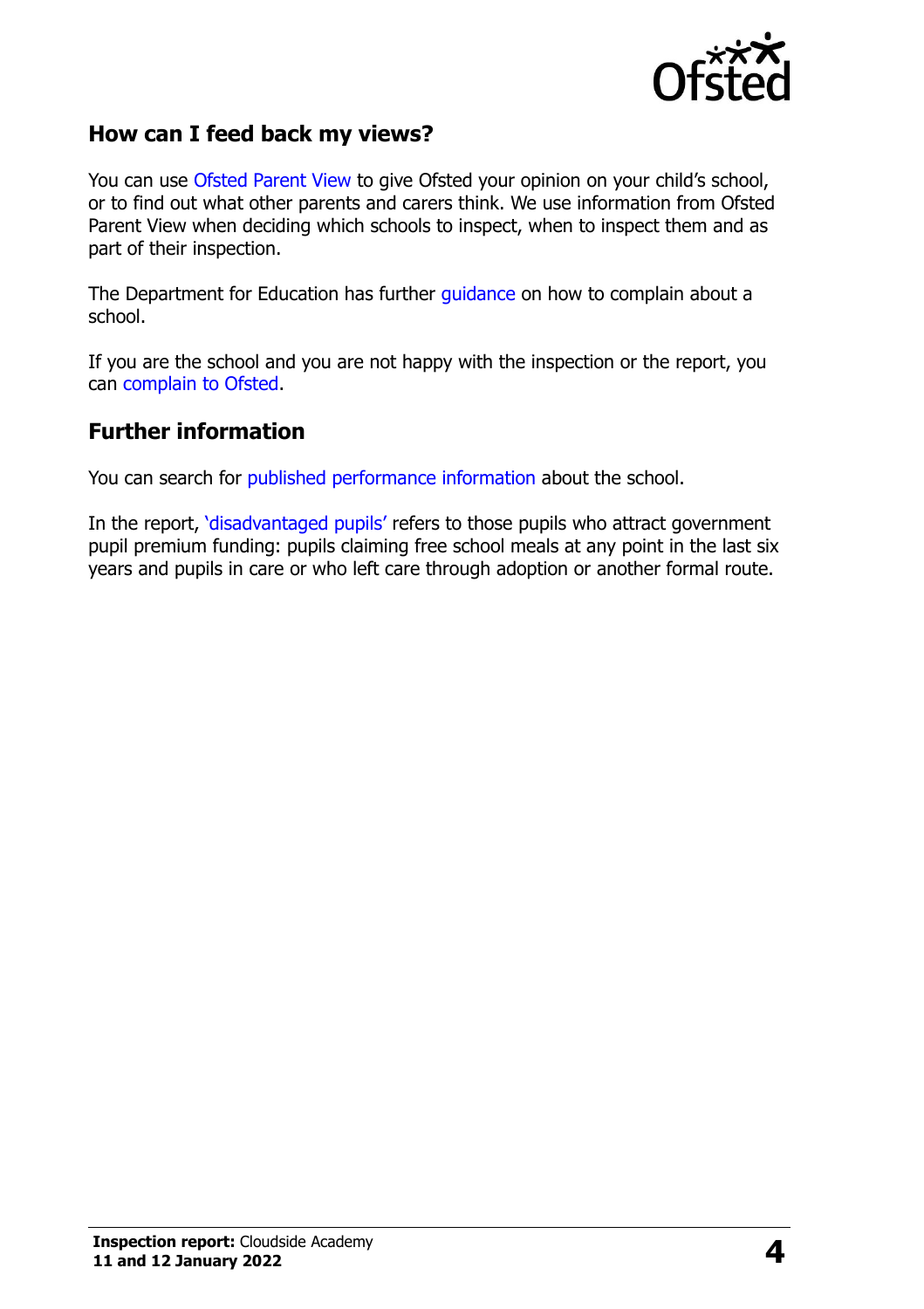

## **How can I feed back my views?**

You can use [Ofsted Parent View](http://parentview.ofsted.gov.uk/) to give Ofsted your opinion on your child's school, or to find out what other parents and carers think. We use information from Ofsted Parent View when deciding which schools to inspect, when to inspect them and as part of their inspection.

The Department for Education has further [guidance](http://www.gov.uk/complain-about-school) on how to complain about a school.

If you are the school and you are not happy with the inspection or the report, you can [complain to Ofsted.](http://www.gov.uk/complain-ofsted-report)

### **Further information**

You can search for [published performance information](http://www.compare-school-performance.service.gov.uk/) about the school.

In the report, '[disadvantaged pupils](http://www.gov.uk/guidance/pupil-premium-information-for-schools-and-alternative-provision-settings)' refers to those pupils who attract government pupil premium funding: pupils claiming free school meals at any point in the last six years and pupils in care or who left care through adoption or another formal route.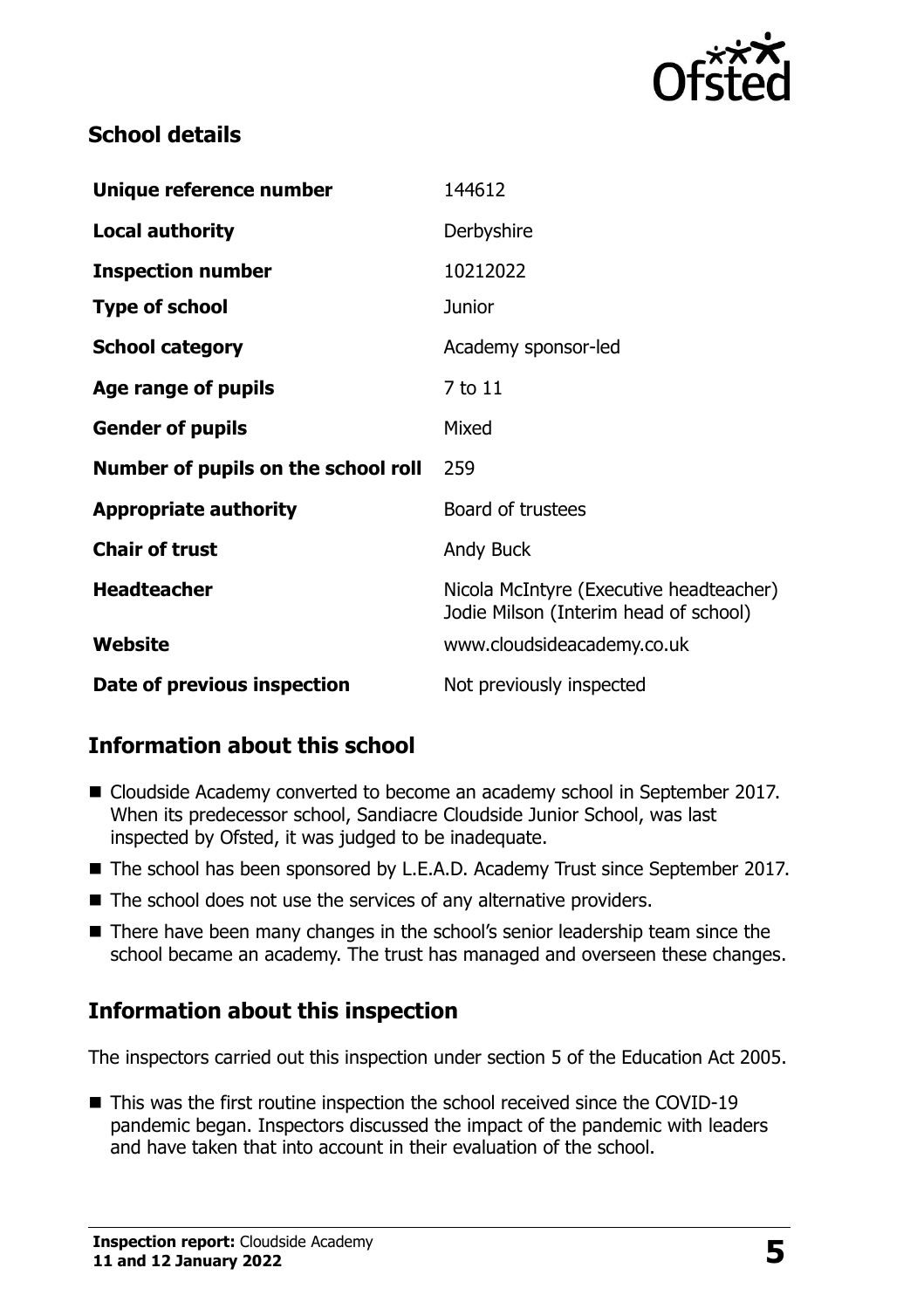

# **School details**

| Unique reference number             | 144612                                                                           |
|-------------------------------------|----------------------------------------------------------------------------------|
| <b>Local authority</b>              | Derbyshire                                                                       |
| <b>Inspection number</b>            | 10212022                                                                         |
| <b>Type of school</b>               | <b>Junior</b>                                                                    |
| <b>School category</b>              | Academy sponsor-led                                                              |
| Age range of pupils                 | 7 to 11                                                                          |
| <b>Gender of pupils</b>             | Mixed                                                                            |
| Number of pupils on the school roll | 259                                                                              |
| <b>Appropriate authority</b>        | Board of trustees                                                                |
| <b>Chair of trust</b>               | <b>Andy Buck</b>                                                                 |
| <b>Headteacher</b>                  | Nicola McIntyre (Executive headteacher)<br>Jodie Milson (Interim head of school) |
| Website                             | www.cloudsideacademy.co.uk                                                       |
| Date of previous inspection         | Not previously inspected                                                         |

# **Information about this school**

- Cloudside Academy converted to become an academy school in September 2017. When its predecessor school, Sandiacre Cloudside Junior School, was last inspected by Ofsted, it was judged to be inadequate.
- The school has been sponsored by L.E.A.D. Academy Trust since September 2017.
- The school does not use the services of any alternative providers.
- There have been many changes in the school's senior leadership team since the school became an academy. The trust has managed and overseen these changes.

# **Information about this inspection**

The inspectors carried out this inspection under section 5 of the Education Act 2005.

■ This was the first routine inspection the school received since the COVID-19 pandemic began. Inspectors discussed the impact of the pandemic with leaders and have taken that into account in their evaluation of the school.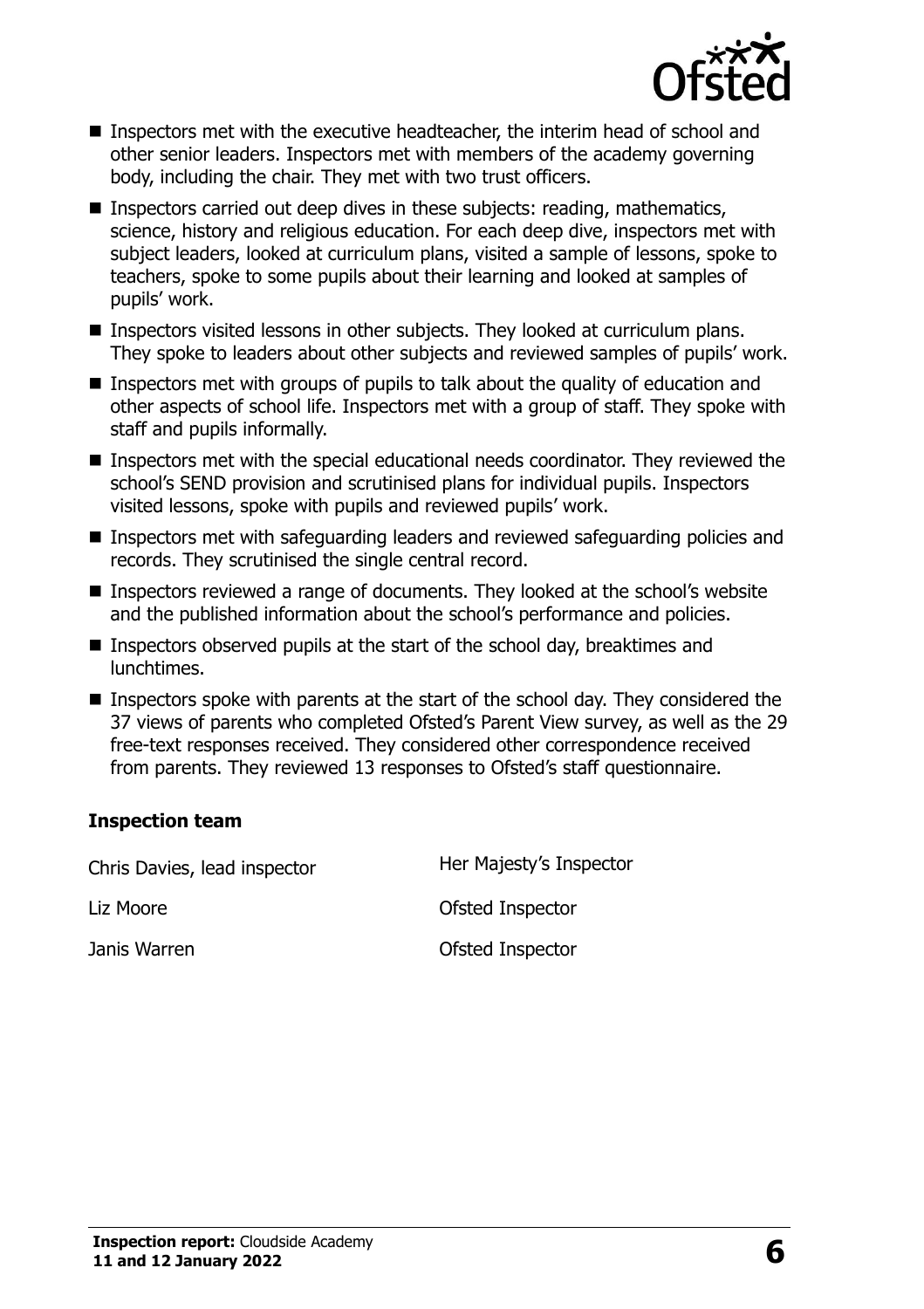

- Inspectors met with the executive headteacher, the interim head of school and other senior leaders. Inspectors met with members of the academy governing body, including the chair. They met with two trust officers.
- Inspectors carried out deep dives in these subjects: reading, mathematics, science, history and religious education. For each deep dive, inspectors met with subject leaders, looked at curriculum plans, visited a sample of lessons, spoke to teachers, spoke to some pupils about their learning and looked at samples of pupils' work.
- Inspectors visited lessons in other subjects. They looked at curriculum plans. They spoke to leaders about other subjects and reviewed samples of pupils' work.
- $\blacksquare$  Inspectors met with groups of pupils to talk about the quality of education and other aspects of school life. Inspectors met with a group of staff. They spoke with staff and pupils informally.
- Inspectors met with the special educational needs coordinator. They reviewed the school's SEND provision and scrutinised plans for individual pupils. Inspectors visited lessons, spoke with pupils and reviewed pupils' work.
- Inspectors met with safeguarding leaders and reviewed safeguarding policies and records. They scrutinised the single central record.
- Inspectors reviewed a range of documents. They looked at the school's website and the published information about the school's performance and policies.
- Inspectors observed pupils at the start of the school day, breaktimes and lunchtimes.
- Inspectors spoke with parents at the start of the school day. They considered the 37 views of parents who completed Ofsted's Parent View survey, as well as the 29 free-text responses received. They considered other correspondence received from parents. They reviewed 13 responses to Ofsted's staff questionnaire.

#### **Inspection team**

Chris Davies, lead inspector Her Majesty's Inspector Liz Moore **Contact Contact Contact Contact Contact Contact Contact Contact Contact Contact Contact Contact Contact Contact Contact Contact Contact Contact Contact Contact Contact Contact Contact Contact Contact Contact Con** Janis Warren Ofsted Inspector